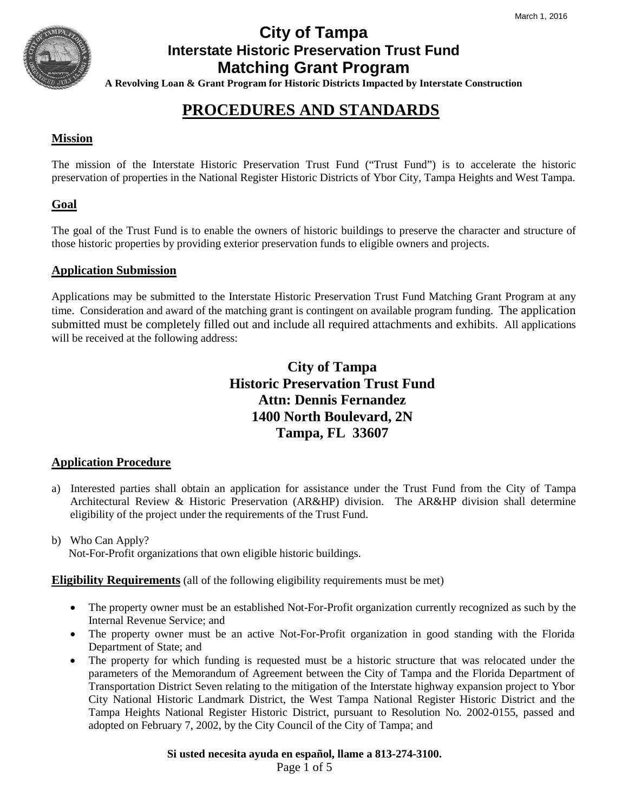

**A Revolving Loan & Grant Program for Historic Districts Impacted by Interstate Construction**

# **PROCEDURES AND STANDARDS**

## **Mission**

The mission of the Interstate Historic Preservation Trust Fund ("Trust Fund") is to accelerate the historic preservation of properties in the National Register Historic Districts of Ybor City, Tampa Heights and West Tampa.

## **Goal**

The goal of the Trust Fund is to enable the owners of historic buildings to preserve the character and structure of those historic properties by providing exterior preservation funds to eligible owners and projects.

### **Application Submission**

Applications may be submitted to the Interstate Historic Preservation Trust Fund Matching Grant Program at any time. Consideration and award of the matching grant is contingent on available program funding. The application submitted must be completely filled out and include all required attachments and exhibits. All applications will be received at the following address:

## **City of Tampa Historic Preservation Trust Fund Attn: Dennis Fernandez 1400 North Boulevard, 2N Tampa, FL 33607**

### **Application Procedure**

- a) Interested parties shall obtain an application for assistance under the Trust Fund from the City of Tampa Architectural Review & Historic Preservation (AR&HP) division. The AR&HP division shall determine eligibility of the project under the requirements of the Trust Fund.
- b) Who Can Apply? Not-For-Profit organizations that own eligible historic buildings.

**Eligibility Requirements** (all of the following eligibility requirements must be met)

- The property owner must be an established Not-For-Profit organization currently recognized as such by the Internal Revenue Service; and
- The property owner must be an active Not-For-Profit organization in good standing with the Florida Department of State; and
- The property for which funding is requested must be a historic structure that was relocated under the parameters of the Memorandum of Agreement between the City of Tampa and the Florida Department of Transportation District Seven relating to the mitigation of the Interstate highway expansion project to Ybor City National Historic Landmark District, the West Tampa National Register Historic District and the Tampa Heights National Register Historic District, pursuant to Resolution No. 2002-0155, passed and adopted on February 7, 2002, by the City Council of the City of Tampa; and

**Si usted necesita ayuda en español, llame a 813-274-3100.**

Page 1 of 5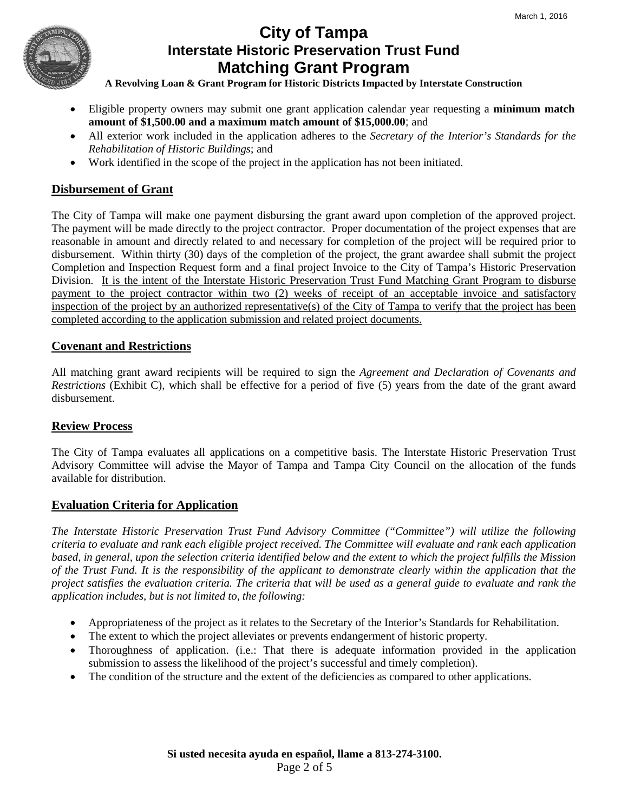

**A Revolving Loan & Grant Program for Historic Districts Impacted by Interstate Construction**

- Eligible property owners may submit one grant application calendar year requesting a **minimum match amount of \$1,500.00 and a maximum match amount of \$15,000.00**; and
- All exterior work included in the application adheres to the *Secretary of the Interior's Standards for the Rehabilitation of Historic Buildings*; and
- Work identified in the scope of the project in the application has not been initiated.

## **Disbursement of Grant**

The City of Tampa will make one payment disbursing the grant award upon completion of the approved project. The payment will be made directly to the project contractor. Proper documentation of the project expenses that are reasonable in amount and directly related to and necessary for completion of the project will be required prior to disbursement. Within thirty (30) days of the completion of the project, the grant awardee shall submit the project Completion and Inspection Request form and a final project Invoice to the City of Tampa's Historic Preservation Division. It is the intent of the Interstate Historic Preservation Trust Fund Matching Grant Program to disburse payment to the project contractor within two (2) weeks of receipt of an acceptable invoice and satisfactory inspection of the project by an authorized representative(s) of the City of Tampa to verify that the project has been completed according to the application submission and related project documents.

## **Covenant and Restrictions**

All matching grant award recipients will be required to sign the *Agreement and Declaration of Covenants and Restrictions* (Exhibit C), which shall be effective for a period of five (5) years from the date of the grant award disbursement.

## **Review Process**

The City of Tampa evaluates all applications on a competitive basis. The Interstate Historic Preservation Trust Advisory Committee will advise the Mayor of Tampa and Tampa City Council on the allocation of the funds available for distribution.

### **Evaluation Criteria for Application**

*The Interstate Historic Preservation Trust Fund Advisory Committee ("Committee") will utilize the following criteria to evaluate and rank each eligible project received. The Committee will evaluate and rank each application based, in general, upon the selection criteria identified below and the extent to which the project fulfills the Mission of the Trust Fund. It is the responsibility of the applicant to demonstrate clearly within the application that the project satisfies the evaluation criteria. The criteria that will be used as a general guide to evaluate and rank the application includes, but is not limited to, the following:* 

- Appropriateness of the project as it relates to the Secretary of the Interior's Standards for Rehabilitation.
- The extent to which the project alleviates or prevents endangerment of historic property.
- Thoroughness of application. (i.e.: That there is adequate information provided in the application submission to assess the likelihood of the project's successful and timely completion).
- The condition of the structure and the extent of the deficiencies as compared to other applications.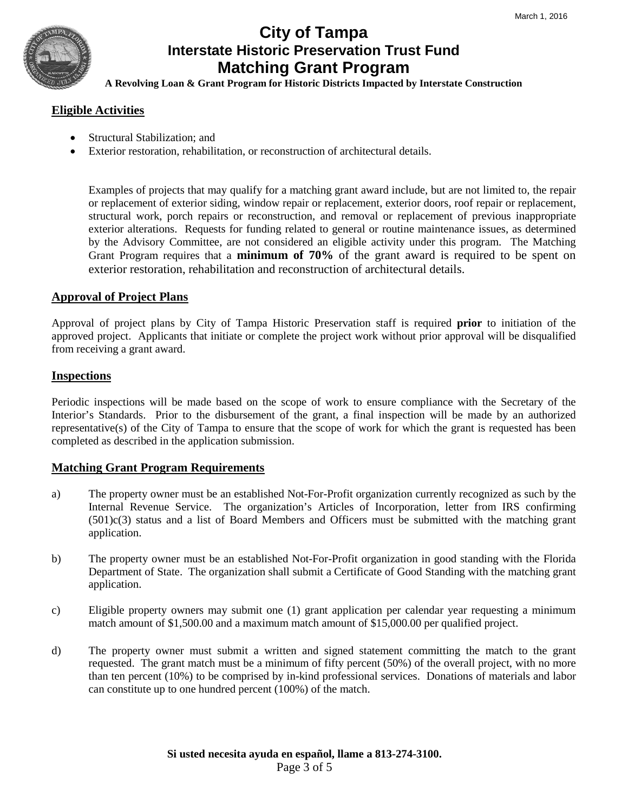**A Revolving Loan & Grant Program for Historic Districts Impacted by Interstate Construction**

### **Eligible Activities**

- Structural Stabilization; and
- Exterior restoration, rehabilitation, or reconstruction of architectural details.

Examples of projects that may qualify for a matching grant award include, but are not limited to, the repair or replacement of exterior siding, window repair or replacement, exterior doors, roof repair or replacement, structural work, porch repairs or reconstruction, and removal or replacement of previous inappropriate exterior alterations. Requests for funding related to general or routine maintenance issues, as determined by the Advisory Committee, are not considered an eligible activity under this program. The Matching Grant Program requires that a **minimum of 70%** of the grant award is required to be spent on exterior restoration, rehabilitation and reconstruction of architectural details.

### **Approval of Project Plans**

Approval of project plans by City of Tampa Historic Preservation staff is required **prior** to initiation of the approved project. Applicants that initiate or complete the project work without prior approval will be disqualified from receiving a grant award.

### **Inspections**

Periodic inspections will be made based on the scope of work to ensure compliance with the Secretary of the Interior's Standards. Prior to the disbursement of the grant, a final inspection will be made by an authorized representative(s) of the City of Tampa to ensure that the scope of work for which the grant is requested has been completed as described in the application submission.

### **Matching Grant Program Requirements**

- a) The property owner must be an established Not-For-Profit organization currently recognized as such by the Internal Revenue Service. The organization's Articles of Incorporation, letter from IRS confirming (501)c(3) status and a list of Board Members and Officers must be submitted with the matching grant application.
- b) The property owner must be an established Not-For-Profit organization in good standing with the Florida Department of State. The organization shall submit a Certificate of Good Standing with the matching grant application.
- c) Eligible property owners may submit one (1) grant application per calendar year requesting a minimum match amount of \$1,500.00 and a maximum match amount of \$15,000.00 per qualified project.
- d) The property owner must submit a written and signed statement committing the match to the grant requested. The grant match must be a minimum of fifty percent (50%) of the overall project, with no more than ten percent (10%) to be comprised by in-kind professional services. Donations of materials and labor can constitute up to one hundred percent (100%) of the match.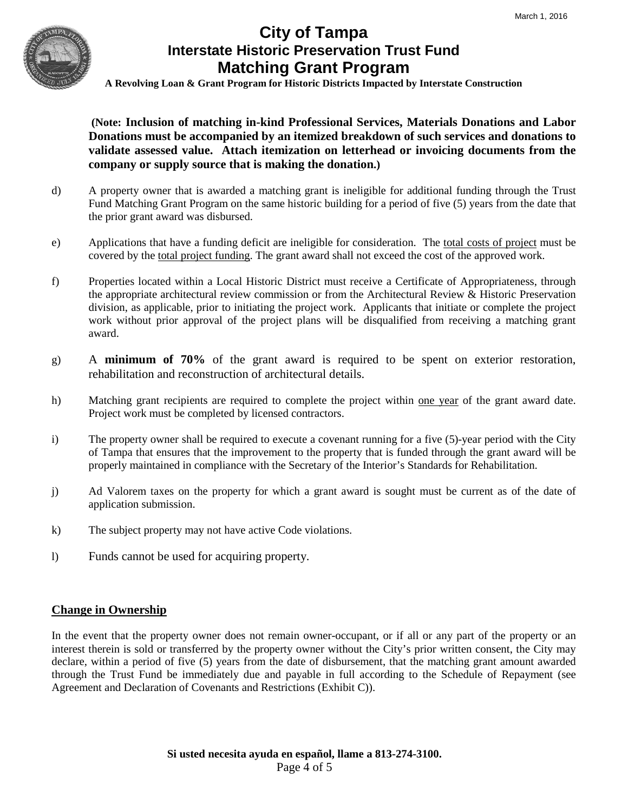

**A Revolving Loan & Grant Program for Historic Districts Impacted by Interstate Construction**

**(Note: Inclusion of matching in-kind Professional Services, Materials Donations and Labor Donations must be accompanied by an itemized breakdown of such services and donations to validate assessed value. Attach itemization on letterhead or invoicing documents from the company or supply source that is making the donation.)**

- d) A property owner that is awarded a matching grant is ineligible for additional funding through the Trust Fund Matching Grant Program on the same historic building for a period of five (5) years from the date that the prior grant award was disbursed.
- e) Applications that have a funding deficit are ineligible for consideration. The total costs of project must be covered by the total project funding. The grant award shall not exceed the cost of the approved work.
- f) Properties located within a Local Historic District must receive a Certificate of Appropriateness, through the appropriate architectural review commission or from the Architectural Review & Historic Preservation division, as applicable, prior to initiating the project work. Applicants that initiate or complete the project work without prior approval of the project plans will be disqualified from receiving a matching grant award.
- g) A **minimum of 70%** of the grant award is required to be spent on exterior restoration, rehabilitation and reconstruction of architectural details.
- h) Matching grant recipients are required to complete the project within <u>one year</u> of the grant award date. Project work must be completed by licensed contractors.
- i) The property owner shall be required to execute a covenant running for a five (5)-year period with the City of Tampa that ensures that the improvement to the property that is funded through the grant award will be properly maintained in compliance with the Secretary of the Interior's Standards for Rehabilitation.
- j) Ad Valorem taxes on the property for which a grant award is sought must be current as of the date of application submission.
- k) The subject property may not have active Code violations.
- l) Funds cannot be used for acquiring property.

### **Change in Ownership**

In the event that the property owner does not remain owner-occupant, or if all or any part of the property or an interest therein is sold or transferred by the property owner without the City's prior written consent, the City may declare, within a period of five (5) years from the date of disbursement, that the matching grant amount awarded through the Trust Fund be immediately due and payable in full according to the Schedule of Repayment (see Agreement and Declaration of Covenants and Restrictions (Exhibit C)).